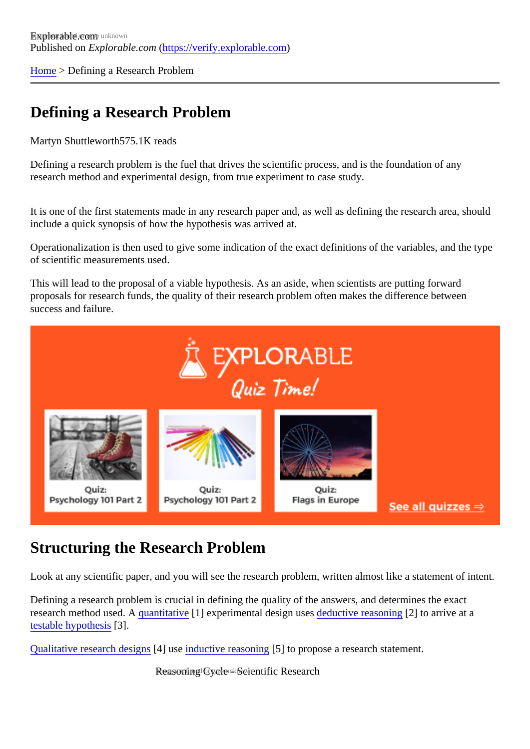[Home](https://verify.explorable.com/) > Defining a Research Problem

#### Defining a Research Problem

Martyn Shuttlewort<sup>575.1K</sup> reads

Defining a research problem is the fuel that drives the scientific process, and is the foundation of any research method and experimental design, from true experiment to case study.

It is one of the first statements made in any research paper and, as well as defining the research area, show include a quick synopsis of how the hypothesis was arrived at.

Operationalization is then used to give some indication of the exact definitions of the variables, and the typ of scientific measurements used.

This will lead to the proposal of a viable hypothesis. As an aside, when scientists are putting forward proposals for research funds, the quality of their research problem often makes the difference between success and failure.

#### Structuring the Research Problem

Look at any scientific paper, and you will see the research problem, written almost like a statement of inter

Defining a research problem is crucial in defining the quality of the answers, and determines the exact research method used. *quantitative*[1] experimental design uses ductive reasonin<sup>[2]</sup> to arrive at a [testable hypothes](https://verify.explorable.com/hypothesis-testing)[3].

[Qualitative research desig](https://verify.explorable.com/qualitative-research-design)nt us[e inductive reasonin](https://verify.explorable.com/inductive-reasoning)g to propose a research statement.

Reasoning Cycle - Scientific Research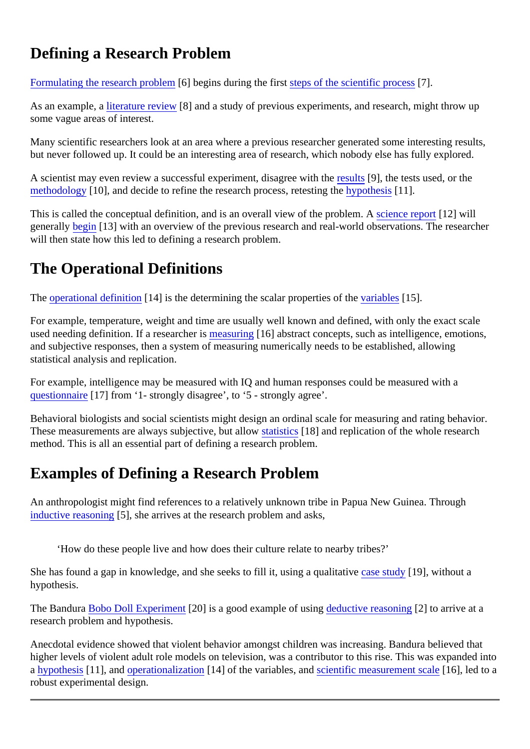# Defining a Research Problem

[Formulating the research probl](https://verify.explorable.com/research-paper-question)eon begins during the first teps of the scientific process.

As an example, butterature review[8] and a study of previous experiments, and research, might throw up some vague areas of interest.

Many scientific researchers look at an area where a previous researcher generated some interesting result but never followed up. It could be an interesting area of research, which nobody else has fully explored.

A scientist may even review a successful experiment, disagree w[ith the](https://verify.explorable.com/statistically-significant-results) sets used, or the [methodology](https://verify.explorable.com/research-methodology)[10], and decide to refine the research process, retestime photosis[11].

This is called the conceptual definition, and is an overall view of the problexie a report [12] will generall[y begin](https://verify.explorable.com/how-to-write-an-introduction)<sup>[13]</sup> with an overview of the previous research and real-world observations. The researcher will then state how this led to defining a research problem.

# The Operational Definitions

The [operational definitio](https://verify.explorable.com/operationalization)n 14] is the determining the scalar properties of the value of 15].

For example, temperature, weight and time are usually well known and defined, with only the exact scale used needing definition. If a researcher is a suring 16] abstract concepts, such as intelligence, emotions, and subjective responses, then a system of measuring numerically needs to be established, allowing statistical analysis and replication.

For example, intelligence may be measured with IQ and human responses could be measured with a [questionnair](https://verify.explorable.com/survey-research-design)e<sup>[17]</sup> from '1- strongly disagree', to '5 - strongly agree'.

Behavioral biologists and social scientists might design an ordinal scale for measuring and rating behavior. These measurements are always subjective, but allatistics [18] and replication of the whole research method. This is all an essential part of defining a research problem.

# Examples of Defining a Research Problem

An anthropologist might find references to a relatively unknown tribe in Papua New Guinea. Through [inductive reasonin](https://verify.explorable.com/inductive-reasoning) $[5]$ , she arrives at the research problem and asks,

'How do these people live and how does their culture relate to nearby tribes?'

She has found a gap in knowledge, and she seeks to fill it, using a qualitative udy 19], without a hypothesis.

The Bandur[a Bobo Doll Experimen](https://verify.explorable.com/bobo-doll-experiment)t 201 is a good example of using ductive reasoning 1 to arrive at a research problem and hypothesis.

Anecdotal evidence showed that violent behavior amongst children was increasing. Bandura believed that higher levels of violent adult role models on television, was a contributor to this rise. This was expanded in a [hypothesis](https://verify.explorable.com/research-hypothesis)<sup>[11]</sup>, an[d operationalizatio](https://verify.explorable.com/operationalization)n<sup>[14]</sup> of the variables, a[nd scientific measurement sca](https://verify.explorable.com/scientific-measurements)ller], led to a robust experimental design.